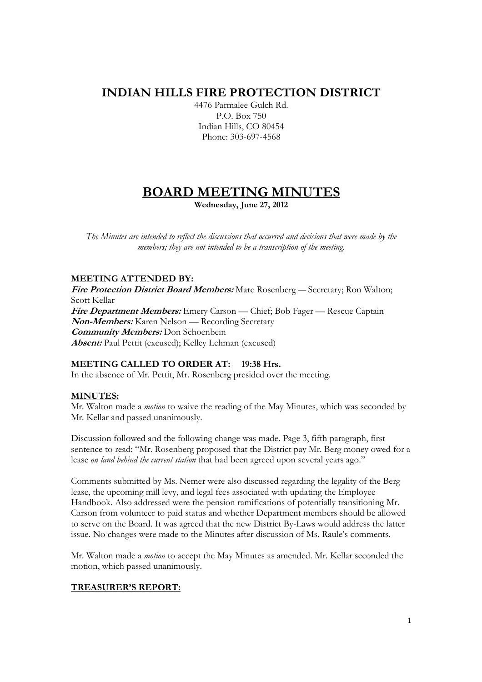# **INDIAN HILLS FIRE PROTECTION DISTRICT**

4476 Parmalee Gulch Rd. P.O. Box 750 Indian Hills, CO 80454 Phone: 303-697-4568

# **BOARD MEETING MINUTES**

**Wednesday, June 27, 2012** 

*The Minutes are intended to reflect the discussions that occurred and decisions that were made by the members; they are not intended to be a transcription of the meeting.* 

# **MEETING ATTENDED BY:**

**Fire Protection District Board Members:** Marc Rosenberg — Secretary; Ron Walton; Scott Kellar **Fire Department Members:** Emery Carson — Chief; Bob Fager — Rescue Captain **Non-Members:** Karen Nelson — Recording Secretary **Community Members:** Don Schoenbein **Absent:** Paul Pettit (excused); Kelley Lehman (excused)

# **MEETING CALLED TO ORDER AT: 19:38 Hrs.**

In the absence of Mr. Pettit, Mr. Rosenberg presided over the meeting.

# **MINUTES:**

Mr. Walton made a *motion* to waive the reading of the May Minutes, which was seconded by Mr. Kellar and passed unanimously.

Discussion followed and the following change was made. Page 3, fifth paragraph, first sentence to read: "Mr. Rosenberg proposed that the District pay Mr. Berg money owed for a lease *on land behind the current station* that had been agreed upon several years ago."

Comments submitted by Ms. Nemer were also discussed regarding the legality of the Berg lease, the upcoming mill levy, and legal fees associated with updating the Employee Handbook. Also addressed were the pension ramifications of potentially transitioning Mr. Carson from volunteer to paid status and whether Department members should be allowed to serve on the Board. It was agreed that the new District By-Laws would address the latter issue. No changes were made to the Minutes after discussion of Ms. Raule's comments.

Mr. Walton made a *motion* to accept the May Minutes as amended. Mr. Kellar seconded the motion, which passed unanimously.

# **TREASURER'S REPORT:**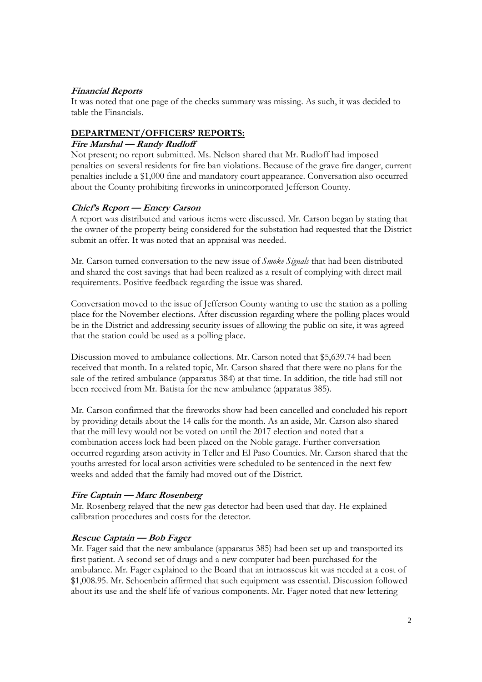## **Financial Reports**

It was noted that one page of the checks summary was missing. As such, it was decided to table the Financials.

## **DEPARTMENT/OFFICERS' REPORTS:**

### **Fire Marshal — Randy Rudloff**

Not present; no report submitted. Ms. Nelson shared that Mr. Rudloff had imposed penalties on several residents for fire ban violations. Because of the grave fire danger, current penalties include a \$1,000 fine and mandatory court appearance. Conversation also occurred about the County prohibiting fireworks in unincorporated Jefferson County.

## **Chief's Report — Emery Carson**

A report was distributed and various items were discussed. Mr. Carson began by stating that the owner of the property being considered for the substation had requested that the District submit an offer. It was noted that an appraisal was needed.

Mr. Carson turned conversation to the new issue of *Smoke Signals* that had been distributed and shared the cost savings that had been realized as a result of complying with direct mail requirements. Positive feedback regarding the issue was shared.

Conversation moved to the issue of Jefferson County wanting to use the station as a polling place for the November elections. After discussion regarding where the polling places would be in the District and addressing security issues of allowing the public on site, it was agreed that the station could be used as a polling place.

Discussion moved to ambulance collections. Mr. Carson noted that \$5,639.74 had been received that month. In a related topic, Mr. Carson shared that there were no plans for the sale of the retired ambulance (apparatus 384) at that time. In addition, the title had still not been received from Mr. Batista for the new ambulance (apparatus 385).

Mr. Carson confirmed that the fireworks show had been cancelled and concluded his report by providing details about the 14 calls for the month. As an aside, Mr. Carson also shared that the mill levy would not be voted on until the 2017 election and noted that a combination access lock had been placed on the Noble garage. Further conversation occurred regarding arson activity in Teller and El Paso Counties. Mr. Carson shared that the youths arrested for local arson activities were scheduled to be sentenced in the next few weeks and added that the family had moved out of the District.

# **Fire Captain — Marc Rosenberg**

Mr. Rosenberg relayed that the new gas detector had been used that day. He explained calibration procedures and costs for the detector.

#### **Rescue Captain — Bob Fager**

Mr. Fager said that the new ambulance (apparatus 385) had been set up and transported its first patient. A second set of drugs and a new computer had been purchased for the ambulance. Mr. Fager explained to the Board that an intraosseus kit was needed at a cost of \$1,008.95. Mr. Schoenbein affirmed that such equipment was essential. Discussion followed about its use and the shelf life of various components. Mr. Fager noted that new lettering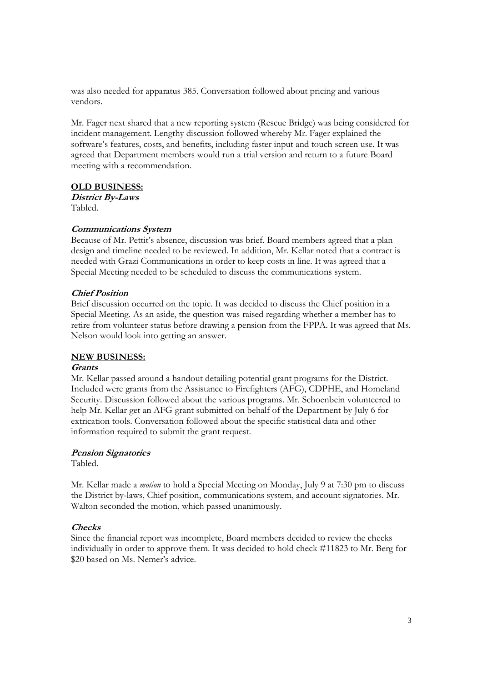was also needed for apparatus 385. Conversation followed about pricing and various vendors.

Mr. Fager next shared that a new reporting system (Rescue Bridge) was being considered for incident management. Lengthy discussion followed whereby Mr. Fager explained the software's features, costs, and benefits, including faster input and touch screen use. It was agreed that Department members would run a trial version and return to a future Board meeting with a recommendation.

# **OLD BUSINESS:**

**District By-Laws**  Tabled.

## **Communications System**

Because of Mr. Pettit's absence, discussion was brief. Board members agreed that a plan design and timeline needed to be reviewed. In addition, Mr. Kellar noted that a contract is needed with Grazi Communications in order to keep costs in line. It was agreed that a Special Meeting needed to be scheduled to discuss the communications system.

## **Chief Position**

Brief discussion occurred on the topic. It was decided to discuss the Chief position in a Special Meeting. As an aside, the question was raised regarding whether a member has to retire from volunteer status before drawing a pension from the FPPA. It was agreed that Ms. Nelson would look into getting an answer.

#### **NEW BUSINESS:**

#### **Grants**

Mr. Kellar passed around a handout detailing potential grant programs for the District. Included were grants from the Assistance to Firefighters (AFG), CDPHE, and Homeland Security. Discussion followed about the various programs. Mr. Schoenbein volunteered to help Mr. Kellar get an AFG grant submitted on behalf of the Department by July 6 for extrication tools. Conversation followed about the specific statistical data and other information required to submit the grant request.

# **Pension Signatories**

Tabled.

Mr. Kellar made a *motion* to hold a Special Meeting on Monday, July 9 at 7:30 pm to discuss the District by-laws, Chief position, communications system, and account signatories. Mr. Walton seconded the motion, which passed unanimously.

# **Checks**

Since the financial report was incomplete, Board members decided to review the checks individually in order to approve them. It was decided to hold check #11823 to Mr. Berg for \$20 based on Ms. Nemer's advice.